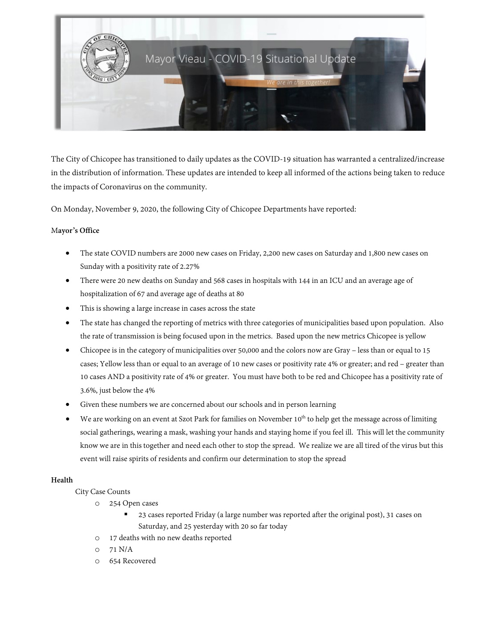

The City of Chicopee has transitioned to daily updates as the COVID-19 situation has warranted a centralized/increase in the distribution of information. These updates are intended to keep all informed of the actions being taken to reduce the impacts of Coronavirus on the community.

On Monday, November 9, 2020, the following City of Chicopee Departments have reported:

#### M**ayor's Office**

- The state COVID numbers are 2000 new cases on Friday, 2,200 new cases on Saturday and 1,800 new cases on Sunday with a positivity rate of 2.27%
- There were 20 new deaths on Sunday and 568 cases in hospitals with 144 in an ICU and an average age of hospitalization of 67 and average age of deaths at 80
- This is showing a large increase in cases across the state
- The state has changed the reporting of metrics with three categories of municipalities based upon population. Also the rate of transmission is being focused upon in the metrics. Based upon the new metrics Chicopee is yellow
- Chicopee is in the category of municipalities over 50,000 and the colors now are Gray less than or equal to 15 cases; Yellow less than or equal to an average of 10 new cases or positivity rate 4% or greater; and red – greater than 10 cases AND a positivity rate of 4% or greater. You must have both to be red and Chicopee has a positivity rate of 3.6%, just below the 4%
- Given these numbers we are concerned about our schools and in person learning
- We are working on an event at Szot Park for families on November 10<sup>th</sup> to help get the message across of limiting social gatherings, wearing a mask, washing your hands and staying home if you feel ill. This will let the community know we are in this together and need each other to stop the spread. We realize we are all tired of the virus but this event will raise spirits of residents and confirm our determination to stop the spread

# **Health**

City Case Counts

- o 254 Open cases
	- 23 cases reported Friday (a large number was reported after the original post), 31 cases on Saturday, and 25 yesterday with 20 so far today
- 17 deaths with no new deaths reported
- o 71 N/A
- o 654 Recovered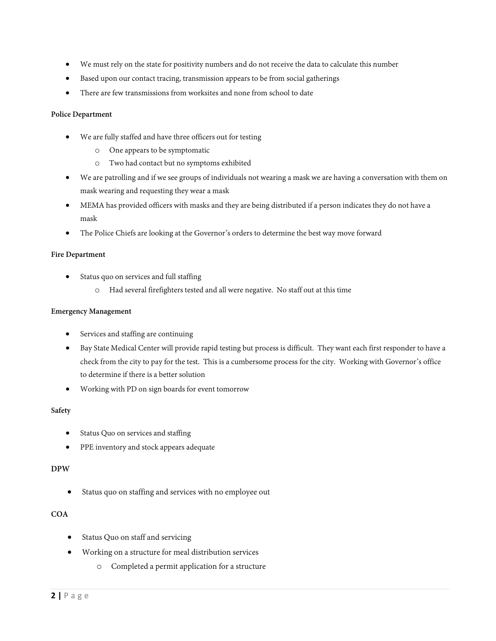- We must rely on the state for positivity numbers and do not receive the data to calculate this number
- Based upon our contact tracing, transmission appears to be from social gatherings
- There are few transmissions from worksites and none from school to date

## **Police Department**

- We are fully staffed and have three officers out for testing
	- o One appears to be symptomatic
	- o Two had contact but no symptoms exhibited
- We are patrolling and if we see groups of individuals not wearing a mask we are having a conversation with them on mask wearing and requesting they wear a mask
- MEMA has provided officers with masks and they are being distributed if a person indicates they do not have a mask
- The Police Chiefs are looking at the Governor's orders to determine the best way move forward

#### **Fire Department**

- Status quo on services and full staffing
	- o Had several firefighters tested and all were negative. No staff out at this time

#### **Emergency Management**

- Services and staffing are continuing
- Bay State Medical Center will provide rapid testing but process is difficult. They want each first responder to have a check from the city to pay for the test. This is a cumbersome process for the city. Working with Governor's office to determine if there is a better solution
- Working with PD on sign boards for event tomorrow

#### **Safety**

- Status Quo on services and staffing
- PPE inventory and stock appears adequate

#### **DPW**

Status quo on staffing and services with no employee out

# **COA**

- Status Quo on staff and servicing
- Working on a structure for meal distribution services
	- o Completed a permit application for a structure